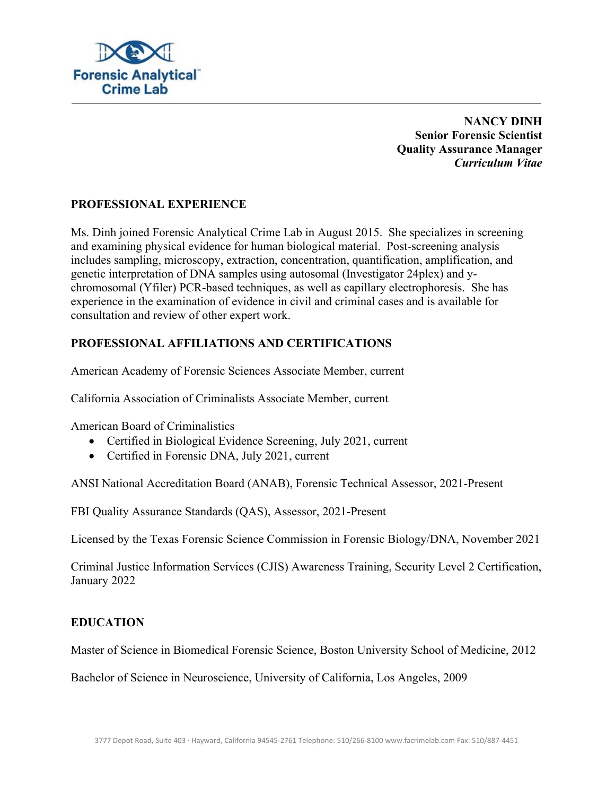

**NANCY DINH Senior Forensic Scientist Quality Assurance Manager**  *Curriculum Vitae* 

## **PROFESSIONAL EXPERIENCE**

Ms. Dinh joined Forensic Analytical Crime Lab in August 2015. She specializes in screening and examining physical evidence for human biological material. Post-screening analysis includes sampling, microscopy, extraction, concentration, quantification, amplification, and genetic interpretation of DNA samples using autosomal (Investigator 24plex) and ychromosomal (Yfiler) PCR-based techniques, as well as capillary electrophoresis. She has experience in the examination of evidence in civil and criminal cases and is available for consultation and review of other expert work.

# **PROFESSIONAL AFFILIATIONS AND CERTIFICATIONS**

American Academy of Forensic Sciences Associate Member, current

California Association of Criminalists Associate Member, current

American Board of Criminalistics

- Certified in Biological Evidence Screening, July 2021, current
- Certified in Forensic DNA, July 2021, current

ANSI National Accreditation Board (ANAB), Forensic Technical Assessor, 2021-Present

FBI Quality Assurance Standards (QAS), Assessor, 2021-Present

Licensed by the Texas Forensic Science Commission in Forensic Biology/DNA, November 2021

Criminal Justice Information Services (CJIS) Awareness Training, Security Level 2 Certification, January 2022

## **EDUCATION**

Master of Science in Biomedical Forensic Science, Boston University School of Medicine, 2012

Bachelor of Science in Neuroscience, University of California, Los Angeles, 2009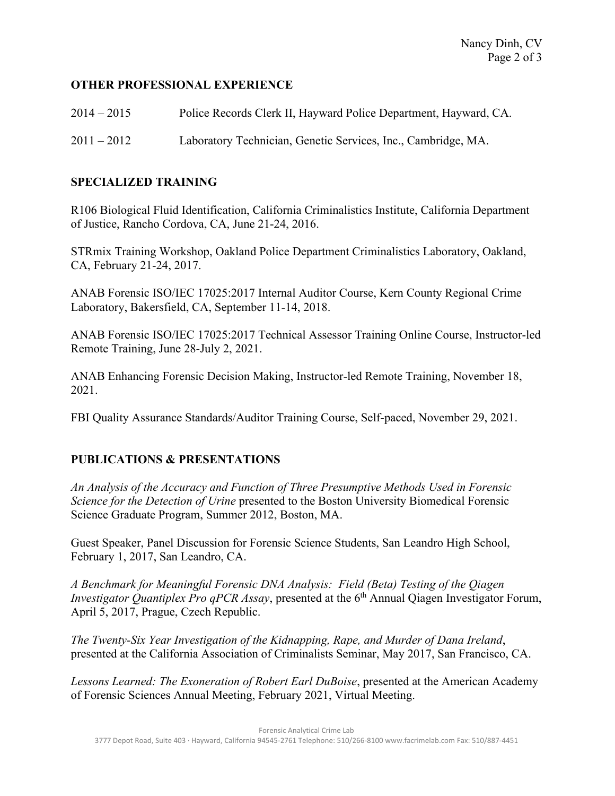## **OTHER PROFESSIONAL EXPERIENCE**

| $2014 - 2015$ | Police Records Clerk II, Hayward Police Department, Hayward, CA. |
|---------------|------------------------------------------------------------------|
| $2011 - 2012$ | Laboratory Technician, Genetic Services, Inc., Cambridge, MA.    |

### **SPECIALIZED TRAINING**

R106 Biological Fluid Identification, California Criminalistics Institute, California Department of Justice, Rancho Cordova, CA, June 21-24, 2016.

STRmix Training Workshop, Oakland Police Department Criminalistics Laboratory, Oakland, CA, February 21-24, 2017.

ANAB Forensic ISO/IEC 17025:2017 Internal Auditor Course, Kern County Regional Crime Laboratory, Bakersfield, CA, September 11-14, 2018.

ANAB Forensic ISO/IEC 17025:2017 Technical Assessor Training Online Course, Instructor-led Remote Training, June 28-July 2, 2021.

ANAB Enhancing Forensic Decision Making, Instructor-led Remote Training, November 18, 2021.

FBI Quality Assurance Standards/Auditor Training Course, Self-paced, November 29, 2021.

## **PUBLICATIONS & PRESENTATIONS**

*An Analysis of the Accuracy and Function of Three Presumptive Methods Used in Forensic Science for the Detection of Urine* presented to the Boston University Biomedical Forensic Science Graduate Program, Summer 2012, Boston, MA.

Guest Speaker, Panel Discussion for Forensic Science Students, San Leandro High School, February 1, 2017, San Leandro, CA.

*A Benchmark for Meaningful Forensic DNA Analysis: Field (Beta) Testing of the Qiagen Investigator Quantiplex Pro qPCR Assay*, presented at the 6<sup>th</sup> Annual Qiagen Investigator Forum, April 5, 2017, Prague, Czech Republic.

*The Twenty-Six Year Investigation of the Kidnapping, Rape, and Murder of Dana Ireland*, presented at the California Association of Criminalists Seminar, May 2017, San Francisco, CA.

*Lessons Learned: The Exoneration of Robert Earl DuBoise*, presented at the American Academy of Forensic Sciences Annual Meeting, February 2021, Virtual Meeting.